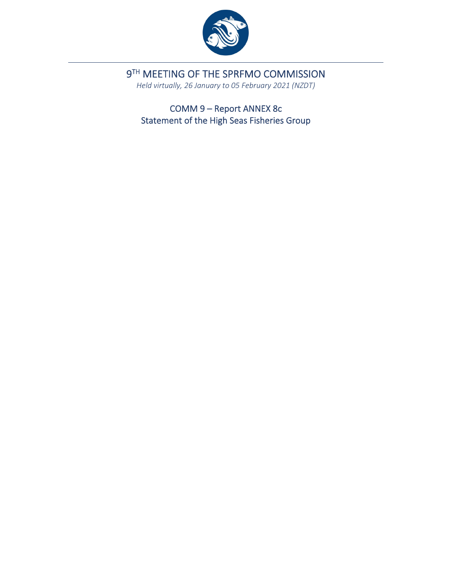

9TH MEETING OF THE SPRFMO COMMISSION

*Held virtually, 26 January to 05 February 2021 (NZDT)*

COMM 9 – Report ANNEX 8c Statement of the High Seas Fisheries Group